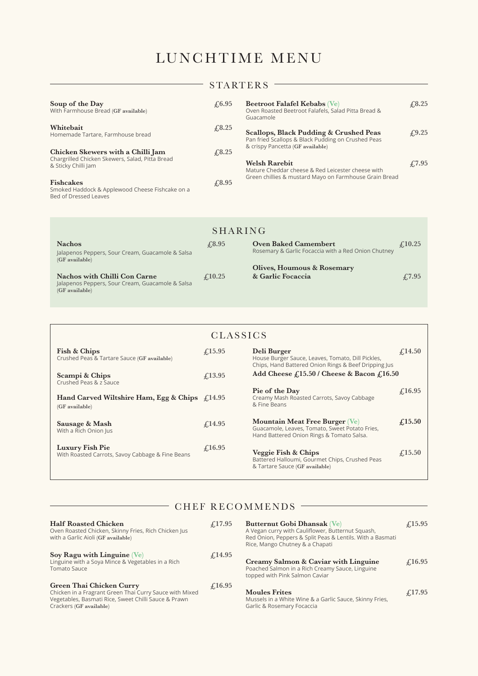# LUNCHTIME MENU

|                                                                                                             |               | <b>STARTERS</b>                                                                                               |                                 |  |
|-------------------------------------------------------------------------------------------------------------|---------------|---------------------------------------------------------------------------------------------------------------|---------------------------------|--|
| Soup of the Day<br>With Farmhouse Bread (GF available)                                                      | $\sqrt{6.95}$ | Beetroot Falafel Kebabs (Ve)<br>Oven Roasted Beetroot Falafels, Salad Pitta Bread &<br>Guacamole              | £3.25                           |  |
| Whitebait<br>Homemade Tartare, Farmhouse bread                                                              | £3.25         | Scallops, Black Pudding & Crushed Peas<br>Pan fried Scallops & Black Pudding on Crushed Peas                  | £9.25                           |  |
| Chicken Skewers with a Chilli Jam<br>Chargrilled Chicken Skewers, Salad, Pitta Bread<br>& Sticky Chilli Jam | £3.25         | & crispy Pancetta (GF available)<br><b>Welsh Rarebit</b><br>Mature Cheddar cheese & Red Leicester cheese with | $\textcolor{blue}{\pounds}7.95$ |  |
| <b>Fishcakes</b><br>Smoked Haddock & Applewood Cheese Fishcake on a<br>Bed of Dressed Leaves                | £8.95         | Green chillies & mustard Mayo on Farmhouse Grain Bread                                                        |                                 |  |

| SHARING                                                               |                                     |                                                     |                 |  |
|-----------------------------------------------------------------------|-------------------------------------|-----------------------------------------------------|-----------------|--|
| <b>Nachos</b>                                                         | $\sqrt{4.8.95}$                     | <b>Oven Baked Camembert</b>                         | $\pounds$ 10.25 |  |
| Jalapenos Peppers, Sour Cream, Guacamole & Salsa<br>$(GF)$ available) |                                     | Rosemary & Garlic Focaccia with a Red Onion Chutney |                 |  |
|                                                                       |                                     | Olives, Houmous & Rosemary                          |                 |  |
| <b>Nachos with Chilli Con Carne</b>                                   | $\textcolor{blue}{\downarrow}10.25$ | & Garlic Focaccia                                   | $\sqrt{7.95}$   |  |
| Jalapenos Peppers, Sour Cream, Guacamole & Salsa                      |                                     |                                                     |                 |  |
| (GF available)                                                        |                                     |                                                     |                 |  |

| <b>CLASSICS</b>                                                           |                                 |                                                                                                                                      |                                 |  |
|---------------------------------------------------------------------------|---------------------------------|--------------------------------------------------------------------------------------------------------------------------------------|---------------------------------|--|
| Fish & Chips<br>Crushed Peas & Tartare Sauce (GF available)               | $\textcolor{red}{\pounds}15.95$ | Deli Burger<br>House Burger Sauce, Leaves, Tomato, Dill Pickles,<br>Chips, Hand Battered Onion Rings & Beef Dripping Jus             | $\mathcal{L}14.50$              |  |
| Scampi & Chips<br>Crushed Peas & z Sauce                                  | f(13.95)                        | Add Cheese $f(15.50)$ Cheese & Bacon $f(16.50)$                                                                                      |                                 |  |
| Hand Carved Wiltshire Ham, Egg & Chips $\int_1^2 14.95$<br>(GF available) |                                 | Pie of the Day<br>Creamy Mash Roasted Carrots, Savoy Cabbage<br>& Fine Beans                                                         | $\textcolor{red}{\pounds}16.95$ |  |
| Sausage & Mash<br>With a Rich Onion Jus                                   | £14.95                          | <b>Mountain Meat Free Burger (Ve)</b><br>Guacamole, Leaves, Tomato, Sweet Potato Fries,<br>Hand Battered Onion Rings & Tomato Salsa. | £,15.50                         |  |
| Luxury Fish Pie<br>With Roasted Carrots, Savoy Cabbage & Fine Beans       | $\mathcal{L}16.95$              | Veggie Fish & Chips<br>Battered Halloumi, Gourmet Chips, Crushed Peas<br>& Tartare Sauce (GF available)                              | £15.50                          |  |

 $-$  CHEF RECOMMENDS  $-$ 

| <b>Half Roasted Chicken</b><br>Oven Roasted Chicken, Skinny Fries, Rich Chicken Jus<br>with a Garlic Aioli (GF available)                                              | $\textcolor{red}{\downarrow}$ 17.95  | Butternut Gobi Dhansak (Ve)<br>A Vegan curry with Cauliflower, Butternut Squash,<br>Red Onion, Peppers & Split Peas & Lentils. With a Basmati<br>Rice, Mango Chutney & a Chapati | $\mathcal{L}15.95$              |
|------------------------------------------------------------------------------------------------------------------------------------------------------------------------|--------------------------------------|----------------------------------------------------------------------------------------------------------------------------------------------------------------------------------|---------------------------------|
| Soy Ragu with Linguine $Ve$<br>Linguine with a Soya Mince & Vegetables in a Rich<br><b>Tomato Sauce</b>                                                                | $\textcolor{blue}{\downarrow}$ 14.95 | Creamy Salmon & Caviar with Linguine<br>Poached Salmon in a Rich Creamy Sauce, Linguine<br>topped with Pink Salmon Caviar                                                        | $\textcolor{red}{\pounds}16.95$ |
| Green Thai Chicken Curry<br>Chicken in a Fragrant Green Thai Curry Sauce with Mixed<br>Vegetables, Basmati Rice, Sweet Chilli Sauce & Prawn<br>Crackers (GF available) | $\textcolor{red}{\pounds}16.95$      | <b>Moules Frites</b><br>Mussels in a White Wine & a Garlic Sauce, Skinny Fries,<br>Garlic & Rosemary Focaccia                                                                    | $f_{.}17.95$                    |